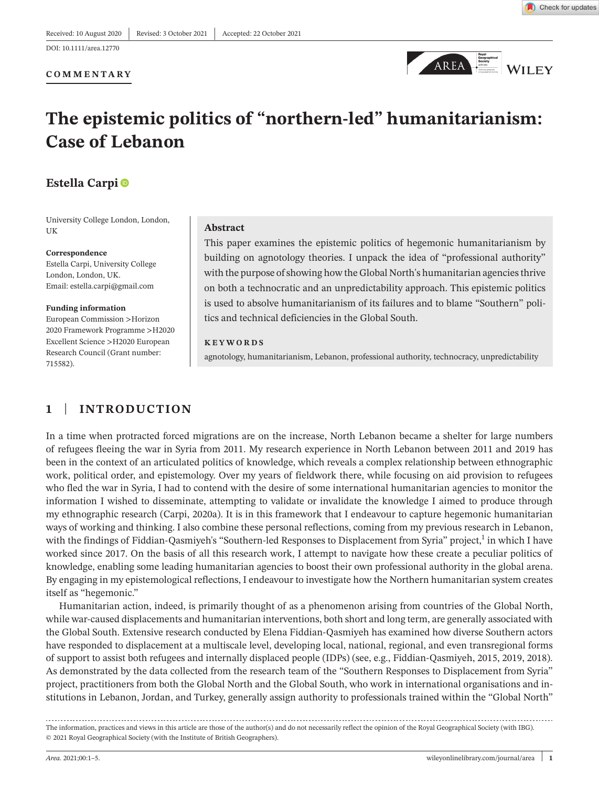DOI: 10.1111/area.12770

### **COMMENTARY**



# **The epistemic politics of "northern-led" humanitarianism: Case of Lebanon**

## **Estella Carpi**

University College London, London, UK

#### **Correspondence**

Estella Carpi, University College London, London, UK. Email: [estella.carpi@gmail.com](mailto:estella.carpi@gmail.com)

#### **Funding information**

European Commission >Horizon 2020 Framework Programme >H2020 Excellent Science >H2020 European Research Council (Grant number: 715582).

#### **Abstract**

This paper examines the epistemic politics of hegemonic humanitarianism by building on agnotology theories. I unpack the idea of "professional authority" with the purpose of showing how the Global North's humanitarian agencies thrive on both a technocratic and an unpredictability approach. This epistemic politics is used to absolve humanitarianism of its failures and to blame "Southern" politics and technical deficiencies in the Global South.

#### **KEYWORDS**

agnotology, humanitarianism, Lebanon, professional authority, technocracy, unpredictability

## **1** | **INTRODUCTION**

In a time when protracted forced migrations are on the increase, North Lebanon became a shelter for large numbers of refugees fleeing the war in Syria from 2011. My research experience in North Lebanon between 2011 and 2019 has been in the context of an articulated politics of knowledge, which reveals a complex relationship between ethnographic work, political order, and epistemology. Over my years of fieldwork there, while focusing on aid provision to refugees who fled the war in Syria, I had to contend with the desire of some international humanitarian agencies to monitor the information I wished to disseminate, attempting to validate or invalidate the knowledge I aimed to produce through my ethnographic research (Carpi, 2020a). It is in this framework that I endeavour to capture hegemonic humanitarian ways of working and thinking. I also combine these personal reflections, coming from my previous research in Lebanon, with the findings of Fiddian-Qasmiyeh's "Southern-led Responses to Displacement from Syria" project,<sup>1</sup> in which I have worked since 2017. On the basis of all this research work, I attempt to navigate how these create a peculiar politics of knowledge, enabling some leading humanitarian agencies to boost their own professional authority in the global arena. By engaging in my epistemological reflections, I endeavour to investigate how the Northern humanitarian system creates itself as "hegemonic."

Humanitarian action, indeed, is primarily thought of as a phenomenon arising from countries of the Global North, while war-caused displacements and humanitarian interventions, both short and long term, are generally associated with the Global South. Extensive research conducted by Elena Fiddian-Qasmiyeh has examined how diverse Southern actors have responded to displacement at a multiscale level, developing local, national, regional, and even transregional forms of support to assist both refugees and internally displaced people (IDPs) (see, e.g., Fiddian-Qasmiyeh, 2015, 2019, 2018). As demonstrated by the data collected from the research team of the "Southern Responses to Displacement from Syria" project, practitioners from both the Global North and the Global South, who work in international organisations and institutions in Lebanon, Jordan, and Turkey, generally assign authority to professionals trained within the "Global North"

The information, practices and views in this article are those of the author(s) and do not necessarily reflect the opinion of the Royal Geographical Society (with IBG). © 2021 Royal Geographical Society (with the Institute of British Geographers).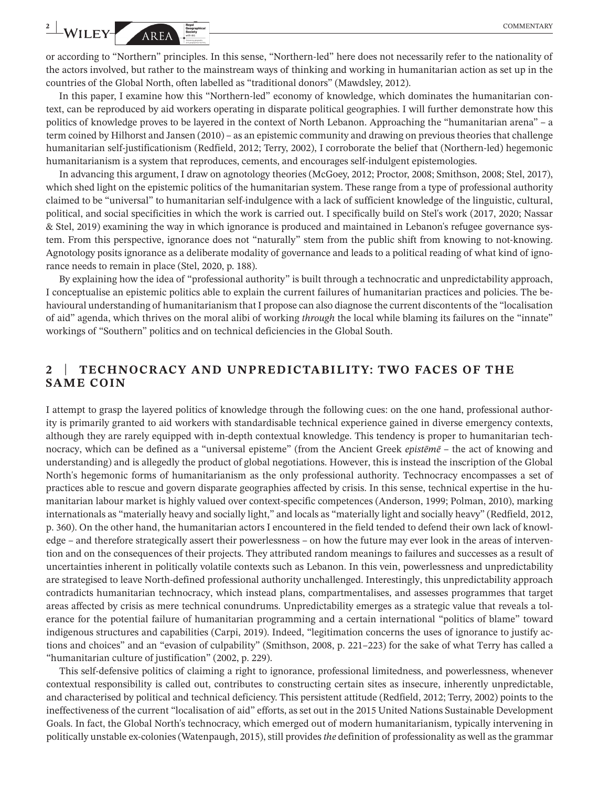or according to "Northern" principles. In this sense, "Northern-led" here does not necessarily refer to the nationality of the actors involved, but rather to the mainstream ways of thinking and working in humanitarian action as set up in the countries of the Global North, often labelled as "traditional donors" (Mawdsley, 2012).

In this paper, I examine how this "Northern-led" economy of knowledge, which dominates the humanitarian context, can be reproduced by aid workers operating in disparate political geographies. I will further demonstrate how this politics of knowledge proves to be layered in the context of North Lebanon. Approaching the "humanitarian arena" – a term coined by Hilhorst and Jansen (2010) – as an epistemic community and drawing on previous theories that challenge humanitarian self-justificationism (Redfield, 2012; Terry, 2002), I corroborate the belief that (Northern-led) hegemonic humanitarianism is a system that reproduces, cements, and encourages self-indulgent epistemologies.

In advancing this argument, I draw on agnotology theories (McGoey, 2012; Proctor, 2008; Smithson, 2008; Stel, 2017), which shed light on the epistemic politics of the humanitarian system. These range from a type of professional authority claimed to be "universal" to humanitarian self-indulgence with a lack of sufficient knowledge of the linguistic, cultural, political, and social specificities in which the work is carried out. I specifically build on Stel's work (2017, 2020; Nassar & Stel, 2019) examining the way in which ignorance is produced and maintained in Lebanon's refugee governance system. From this perspective, ignorance does not "naturally" stem from the public shift from knowing to not-knowing. Agnotology posits ignorance as a deliberate modality of governance and leads to a political reading of what kind of ignorance needs to remain in place (Stel, 2020, p. 188).

By explaining how the idea of "professional authority" is built through a technocratic and unpredictability approach, I conceptualise an epistemic politics able to explain the current failures of humanitarian practices and policies. The behavioural understanding of humanitarianism that I propose can also diagnose the current discontents of the "localisation of aid" agenda, which thrives on the moral alibi of working *through* the local while blaming its failures on the "innate" workings of "Southern" politics and on technical deficiencies in the Global South.

## **2** | **TECHNOCRACY AND UNPREDICTABILITY: TWO FACES OF THE SAME COIN**

I attempt to grasp the layered politics of knowledge through the following cues: on the one hand, professional authority is primarily granted to aid workers with standardisable technical experience gained in diverse emergency contexts, although they are rarely equipped with in-depth contextual knowledge. This tendency is proper to humanitarian technocracy, which can be defined as a "universal episteme" (from the Ancient Greek *epistēmē* – the act of knowing and understanding) and is allegedly the product of global negotiations. However, this is instead the inscription of the Global North's hegemonic forms of humanitarianism as the only professional authority. Technocracy encompasses a set of practices able to rescue and govern disparate geographies affected by crisis. In this sense, technical expertise in the humanitarian labour market is highly valued over context-specific competences (Anderson, 1999; Polman, 2010), marking internationals as "materially heavy and socially light," and locals as "materially light and socially heavy" (Redfield, 2012, p. 360). On the other hand, the humanitarian actors I encountered in the field tended to defend their own lack of knowledge – and therefore strategically assert their powerlessness – on how the future may ever look in the areas of intervention and on the consequences of their projects. They attributed random meanings to failures and successes as a result of uncertainties inherent in politically volatile contexts such as Lebanon. In this vein, powerlessness and unpredictability are strategised to leave North-defined professional authority unchallenged. Interestingly, this unpredictability approach contradicts humanitarian technocracy, which instead plans, compartmentalises, and assesses programmes that target areas affected by crisis as mere technical conundrums. Unpredictability emerges as a strategic value that reveals a tolerance for the potential failure of humanitarian programming and a certain international "politics of blame" toward indigenous structures and capabilities (Carpi, 2019). Indeed, "legitimation concerns the uses of ignorance to justify actions and choices" and an "evasion of culpability" (Smithson, 2008, p. 221–223) for the sake of what Terry has called a "humanitarian culture of justification" (2002, p. 229).

This self-defensive politics of claiming a right to ignorance, professional limitedness, and powerlessness, whenever contextual responsibility is called out, contributes to constructing certain sites as insecure, inherently unpredictable, and characterised by political and technical deficiency. This persistent attitude (Redfield, 2012; Terry, 2002) points to the ineffectiveness of the current "localisation of aid" efforts, as set out in the 2015 United Nations Sustainable Development Goals. In fact, the Global North's technocracy, which emerged out of modern humanitarianism, typically intervening in politically unstable ex-colonies (Watenpaugh, 2015), still provides *the* definition of professionality as well as the grammar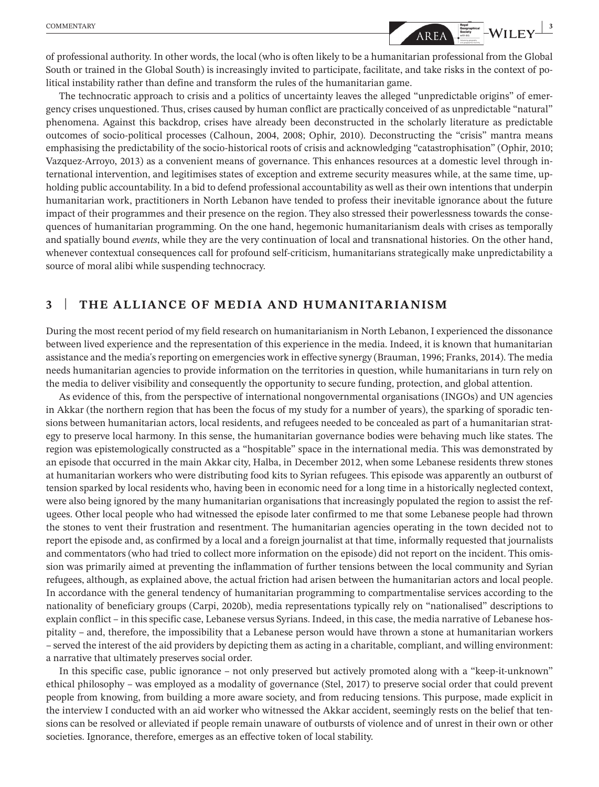of professional authority. In other words, the local (who is often likely to be a humanitarian professional from the Global South or trained in the Global South) is increasingly invited to participate, facilitate, and take risks in the context of political instability rather than define and transform the rules of the humanitarian game.

The technocratic approach to crisis and a politics of uncertainty leaves the alleged "unpredictable origins" of emergency crises unquestioned. Thus, crises caused by human conflict are practically conceived of as unpredictable "natural" phenomena. Against this backdrop, crises have already been deconstructed in the scholarly literature as predictable outcomes of socio-political processes (Calhoun, 2004, 2008; Ophir, 2010). Deconstructing the "crisis" mantra means emphasising the predictability of the socio-historical roots of crisis and acknowledging "catastrophisation" (Ophir, 2010; Vazquez-Arroyo, 2013) as a convenient means of governance. This enhances resources at a domestic level through international intervention, and legitimises states of exception and extreme security measures while, at the same time, upholding public accountability. In a bid to defend professional accountability as well as their own intentions that underpin humanitarian work, practitioners in North Lebanon have tended to profess their inevitable ignorance about the future impact of their programmes and their presence on the region. They also stressed their powerlessness towards the consequences of humanitarian programming. On the one hand, hegemonic humanitarianism deals with crises as temporally and spatially bound *events*, while they are the very continuation of local and transnational histories. On the other hand, whenever contextual consequences call for profound self-criticism, humanitarians strategically make unpredictability a source of moral alibi while suspending technocracy.

## **3** | **THE ALLIANCE OF MEDIA AND HUMANITARIANISM**

During the most recent period of my field research on humanitarianism in North Lebanon, I experienced the dissonance between lived experience and the representation of this experience in the media. Indeed, it is known that humanitarian assistance and the media's reporting on emergencies work in effective synergy (Brauman, 1996; Franks, 2014). The media needs humanitarian agencies to provide information on the territories in question, while humanitarians in turn rely on the media to deliver visibility and consequently the opportunity to secure funding, protection, and global attention.

As evidence of this, from the perspective of international nongovernmental organisations (INGOs) and UN agencies in Akkar (the northern region that has been the focus of my study for a number of years), the sparking of sporadic tensions between humanitarian actors, local residents, and refugees needed to be concealed as part of a humanitarian strategy to preserve local harmony. In this sense, the humanitarian governance bodies were behaving much like states. The region was epistemologically constructed as a "hospitable" space in the international media. This was demonstrated by an episode that occurred in the main Akkar city, Halba, in December 2012, when some Lebanese residents threw stones at humanitarian workers who were distributing food kits to Syrian refugees. This episode was apparently an outburst of tension sparked by local residents who, having been in economic need for a long time in a historically neglected context, were also being ignored by the many humanitarian organisations that increasingly populated the region to assist the refugees. Other local people who had witnessed the episode later confirmed to me that some Lebanese people had thrown the stones to vent their frustration and resentment. The humanitarian agencies operating in the town decided not to report the episode and, as confirmed by a local and a foreign journalist at that time, informally requested that journalists and commentators (who had tried to collect more information on the episode) did not report on the incident. This omission was primarily aimed at preventing the inflammation of further tensions between the local community and Syrian refugees, although, as explained above, the actual friction had arisen between the humanitarian actors and local people. In accordance with the general tendency of humanitarian programming to compartmentalise services according to the nationality of beneficiary groups (Carpi, 2020b), media representations typically rely on "nationalised" descriptions to explain conflict – in this specific case, Lebanese versus Syrians. Indeed, in this case, the media narrative of Lebanese hospitality – and, therefore, the impossibility that a Lebanese person would have thrown a stone at humanitarian workers – served the interest of the aid providers by depicting them as acting in a charitable, compliant, and willing environment: a narrative that ultimately preserves social order.

In this specific case, public ignorance – not only preserved but actively promoted along with a "keep-it-unknown" ethical philosophy – was employed as a modality of governance (Stel, 2017) to preserve social order that could prevent people from knowing, from building a more aware society, and from reducing tensions. This purpose, made explicit in the interview I conducted with an aid worker who witnessed the Akkar accident, seemingly rests on the belief that tensions can be resolved or alleviated if people remain unaware of outbursts of violence and of unrest in their own or other societies. Ignorance, therefore, emerges as an effective token of local stability.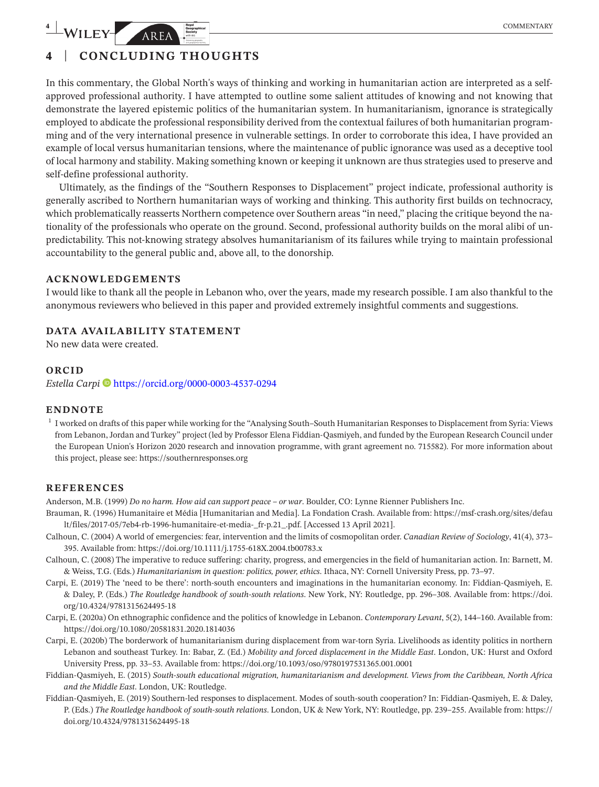## **4** | **CONCLUDING THOUGHTS**

In this commentary, the Global North's ways of thinking and working in humanitarian action are interpreted as a selfapproved professional authority. I have attempted to outline some salient attitudes of knowing and not knowing that demonstrate the layered epistemic politics of the humanitarian system. In humanitarianism, ignorance is strategically employed to abdicate the professional responsibility derived from the contextual failures of both humanitarian programming and of the very international presence in vulnerable settings. In order to corroborate this idea, I have provided an example of local versus humanitarian tensions, where the maintenance of public ignorance was used as a deceptive tool of local harmony and stability. Making something known or keeping it unknown are thus strategies used to preserve and self-define professional authority.

Ultimately, as the findings of the "Southern Responses to Displacement" project indicate, professional authority is generally ascribed to Northern humanitarian ways of working and thinking. This authority first builds on technocracy, which problematically reasserts Northern competence over Southern areas "in need," placing the critique beyond the nationality of the professionals who operate on the ground. Second, professional authority builds on the moral alibi of unpredictability. This not-knowing strategy absolves humanitarianism of its failures while trying to maintain professional accountability to the general public and, above all, to the donorship.

## **ACKNOWLEDGEMENTS**

I would like to thank all the people in Lebanon who, over the years, made my research possible. I am also thankful to the anonymous reviewers who believed in this paper and provided extremely insightful comments and suggestions.

## **DATA AVAILABILITY STATEMENT**

No new data were created.

## **ORCID**

*Estella Carpi* <https://orcid.org/0000-0003-4537-0294>

## **ENDNOTE**

 $^1$  I worked on drafts of this paper while working for the "Analysing South–South Humanitarian Responses to Displacement from Syria: Views from Lebanon, Jordan and Turkey" project (led by Professor Elena Fiddian-Qasmiyeh, and funded by the European Research Council under the European Union's Horizon 2020 research and innovation programme, with grant agreement no. 715582). For more information about this project, please see: <https://southernresponses.org>

## **REFERENCES**

Anderson, M.B. (1999) *Do no harm. How aid can support peace – or war*. Boulder, CO: Lynne Rienner Publishers Inc.

- Brauman, R. (1996) Humanitaire et Média [Humanitarian and Media]. La Fondation Crash. Available from: [https://msf-crash.org/sites/defau](https://msf-crash.org/sites/default/files/2017-05/7eb4-rb-1996-humanitaire-et-media-_fr-p.21_.pdf) [lt/files/2017-05/7eb4-rb-1996-humanitaire-et-media-\\_fr-p.21\\_.pdf](https://msf-crash.org/sites/default/files/2017-05/7eb4-rb-1996-humanitaire-et-media-_fr-p.21_.pdf). [Accessed 13 April 2021].
- Calhoun, C. (2004) A world of emergencies: fear, intervention and the limits of cosmopolitan order. *Canadian Review of Sociology*, 41(4), 373– 395. Available from: <https://doi.org/10.1111/j.1755-618X.2004.tb00783.x>
- Calhoun, C. (2008) The imperative to reduce suffering: charity, progress, and emergencies in the field of humanitarian action. In: Barnett, M. & Weiss, T.G. (Eds.) *Humanitarianism in question: politics, power, ethics*. Ithaca, NY: Cornell University Press, pp. 73–97.
- Carpi, E. (2019) The 'need to be there': north-south encounters and imaginations in the humanitarian economy. In: Fiddian-Qasmiyeh, E. & Daley, P. (Eds.) *The Routledge handbook of south-south relations*. New York, NY: Routledge, pp. 296–308. Available from: [https://doi.](https://doi.org/10.4324/9781315624495-18) [org/10.4324/9781315624495-18](https://doi.org/10.4324/9781315624495-18)
- Carpi, E. (2020a) On ethnographic confidence and the politics of knowledge in Lebanon. *Contemporary Levant*, 5(2), 144–160. Available from: <https://doi.org/10.1080/20581831.2020.1814036>
- Carpi, E. (2020b) The borderwork of humanitarianism during displacement from war-torn Syria. Livelihoods as identity politics in northern Lebanon and southeast Turkey. In: Babar, Z. (Ed.) *Mobility and forced displacement in the Middle East*. London, UK: Hurst and Oxford University Press, pp. 33–53. Available from: <https://doi.org/10.1093/oso/9780197531365.001.0001>
- Fiddian-Qasmiyeh, E. (2015) *South-south educational migration, humanitarianism and development. Views from the Caribbean, North Africa and the Middle East*. London, UK: Routledge.
- Fiddian-Qasmiyeh, E. (2019) Southern-led responses to displacement. Modes of south-south cooperation? In: Fiddian-Qasmiyeh, E. & Daley, P. (Eds.) *The Routledge handbook of south-south relations*. London, UK & New York, NY: Routledge, pp. 239–255. Available from: [https://](https://doi.org/10.4324/9781315624495-18) [doi.org/10.4324/9781315624495-18](https://doi.org/10.4324/9781315624495-18)